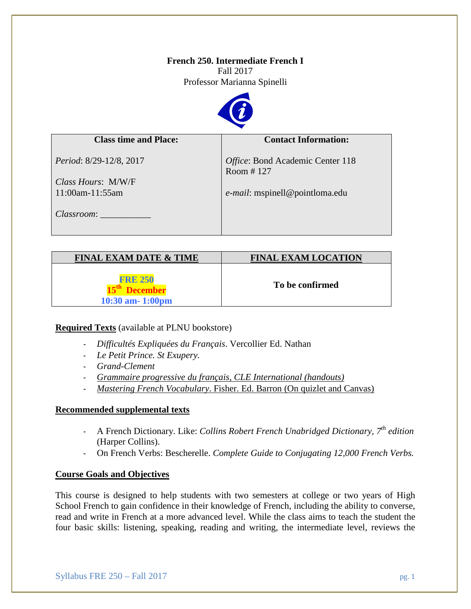# **French 250. Intermediate French I**

Fall 2017 Professor Marianna Spinelli



# **Class time and Place:** *Period*: 8/29-12/8, 2017 *Class Hours*: M/W/F 11:00am-11:55am *Classroom*: \_\_\_\_\_\_\_\_\_\_\_ **Contact Information:** *Office*: Bond Academic Center 118 Room # 127 *e-mail*: mspinell@pointloma.edu

| <b>FINAL EXAM DATE &amp; TIME</b>       | <b>FINAL EXAM LOCATION</b> |
|-----------------------------------------|----------------------------|
| <b>FRE 250</b><br>$10:30$ am- $1:00$ pm | To be confirmed            |

# **Required Texts** (available at PLNU bookstore)

- *Difficultés Expliquées du Français*. Vercollier Ed. Nathan
- *Le Petit Prince. St Exupery.*
- *Grand-Clement*
- *Grammaire progressive du français, CLE International (handouts)*
- *Mastering French Vocabulary*. Fisher. Ed. Barron (On quizlet and Canvas)

### **Recommended supplemental texts**

- A French Dictionary. Like: *Collins Robert French Unabridged Dictionary, 7th edition*  (Harper Collins).
- On French Verbs: Bescherelle. *Complete Guide to Conjugating 12,000 French Verbs.*

### **Course Goals and Objectives**

This course is designed to help students with two semesters at college or two years of High School French to gain confidence in their knowledge of French, including the ability to converse, read and write in French at a more advanced level. While the class aims to teach the student the four basic skills: listening, speaking, reading and writing, the intermediate level, reviews the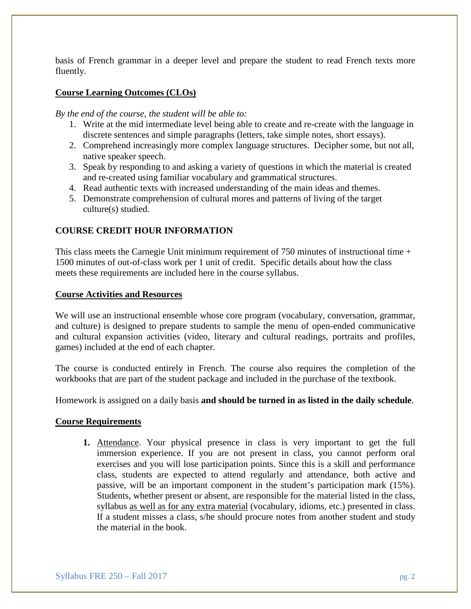basis of French grammar in a deeper level and prepare the student to read French texts more fluently.

# **Course Learning Outcomes (CLOs)**

*By the end of the course, the student will be able to:*

- 1. Write at the mid intermediate level being able to create and re-create with the language in discrete sentences and simple paragraphs (letters, take simple notes, short essays).
- 2. Comprehend increasingly more complex language structures. Decipher some, but not all, native speaker speech.
- 3. Speak by responding to and asking a variety of questions in which the material is created and re-created using familiar vocabulary and grammatical structures.
- 4. Read authentic texts with increased understanding of the main ideas and themes.
- 5. Demonstrate comprehension of cultural mores and patterns of living of the target culture(s) studied.

# **COURSE CREDIT HOUR INFORMATION**

This class meets the Carnegie Unit minimum requirement of 750 minutes of instructional time + 1500 minutes of out-of-class work per 1 unit of credit. Specific details about how the class meets these requirements are included here in the course syllabus.

#### **Course Activities and Resources**

We will use an instructional ensemble whose core program (vocabulary, conversation, grammar, and culture) is designed to prepare students to sample the menu of open-ended communicative and cultural expansion activities (video, literary and cultural readings, portraits and profiles, games) included at the end of each chapter.

The course is conducted entirely in French. The course also requires the completion of the workbooks that are part of the student package and included in the purchase of the textbook.

Homework is assigned on a daily basis **and should be turned in as listed in the daily schedule**.

### **Course Requirements**

**1.** Attendance. Your physical presence in class is very important to get the full immersion experience. If you are not present in class, you cannot perform oral exercises and you will lose participation points. Since this is a skill and performance class, students are expected to attend regularly and attendance, both active and passive, will be an important component in the student's participation mark (15%). Students, whether present or absent, are responsible for the material listed in the class, syllabus as well as for any extra material (vocabulary, idioms, etc.) presented in class. If a student misses a class, s/he should procure notes from another student and study the material in the book.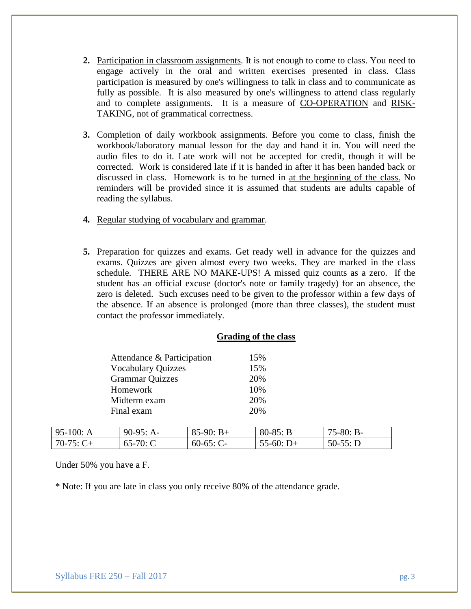- **2.** Participation in classroom assignments. It is not enough to come to class. You need to engage actively in the oral and written exercises presented in class. Class participation is measured by one's willingness to talk in class and to communicate as fully as possible. It is also measured by one's willingness to attend class regularly and to complete assignments. It is a measure of CO-OPERATION and RISK-TAKING, not of grammatical correctness.
- **3.** Completion of daily workbook assignments. Before you come to class, finish the workbook/laboratory manual lesson for the day and hand it in. You will need the audio files to do it. Late work will not be accepted for credit, though it will be corrected. Work is considered late if it is handed in after it has been handed back or discussed in class. Homework is to be turned in at the beginning of the class. No reminders will be provided since it is assumed that students are adults capable of reading the syllabus.
- **4.** Regular studying of vocabulary and grammar.
- **5.** Preparation for quizzes and exams. Get ready well in advance for the quizzes and exams. Quizzes are given almost every two weeks. They are marked in the class schedule. THERE ARE NO MAKE-UPS! A missed quiz counts as a zero. If the student has an official excuse (doctor's note or family tragedy) for an absence, the zero is deleted. Such excuses need to be given to the professor within a few days of the absence. If an absence is prolonged (more than three classes), the student must contact the professor immediately.

|           | Attendance & Participation |             | 15%        |             |
|-----------|----------------------------|-------------|------------|-------------|
|           | <b>Vocabulary Quizzes</b>  |             | 15%        |             |
|           | <b>Grammar Quizzes</b>     |             | 20%        |             |
|           | Homework                   |             | 10%        |             |
|           | Midterm exam               |             | 20%        |             |
|           | Final exam                 |             | 20%        |             |
|           |                            |             |            |             |
| 95-100: A | $90-95: A-$                | $85-90: B+$ | $80-85: B$ | $75-80: B-$ |

#### **Grading of the class**

Under 50% you have a F.

\* Note: If you are late in class you only receive 80% of the attendance grade.

 $70-75: C+$  65-70: C 60-65: C- 55-60: D+ 50-55: D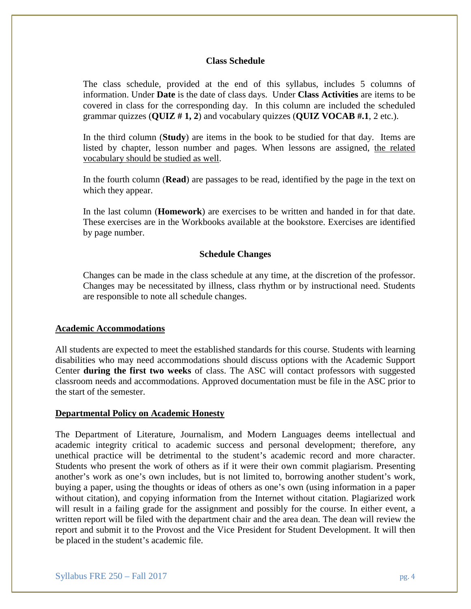#### **Class Schedule**

The class schedule, provided at the end of this syllabus, includes 5 columns of information. Under **Date** is the date of class days. Under **Class Activities** are items to be covered in class for the corresponding day. In this column are included the scheduled grammar quizzes (**QUIZ # 1, 2**) and vocabulary quizzes (**QUIZ VOCAB #.1**, 2 etc.).

In the third column (**Study**) are items in the book to be studied for that day. Items are listed by chapter, lesson number and pages. When lessons are assigned, the related vocabulary should be studied as well.

In the fourth column (**Read**) are passages to be read, identified by the page in the text on which they appear.

In the last column (**Homework**) are exercises to be written and handed in for that date. These exercises are in the Workbooks available at the bookstore. Exercises are identified by page number.

#### **Schedule Changes**

Changes can be made in the class schedule at any time, at the discretion of the professor. Changes may be necessitated by illness, class rhythm or by instructional need. Students are responsible to note all schedule changes.

#### **Academic Accommodations**

All students are expected to meet the established standards for this course. Students with learning disabilities who may need accommodations should discuss options with the Academic Support Center **during the first two weeks** of class. The ASC will contact professors with suggested classroom needs and accommodations. Approved documentation must be file in the ASC prior to the start of the semester.

#### **Departmental Policy on Academic Honesty**

The Department of Literature, Journalism, and Modern Languages deems intellectual and academic integrity critical to academic success and personal development; therefore, any unethical practice will be detrimental to the student's academic record and more character. Students who present the work of others as if it were their own commit plagiarism. Presenting another's work as one's own includes, but is not limited to, borrowing another student's work, buying a paper, using the thoughts or ideas of others as one's own (using information in a paper without citation), and copying information from the Internet without citation. Plagiarized work will result in a failing grade for the assignment and possibly for the course. In either event, a written report will be filed with the department chair and the area dean. The dean will review the report and submit it to the Provost and the Vice President for Student Development. It will then be placed in the student's academic file.